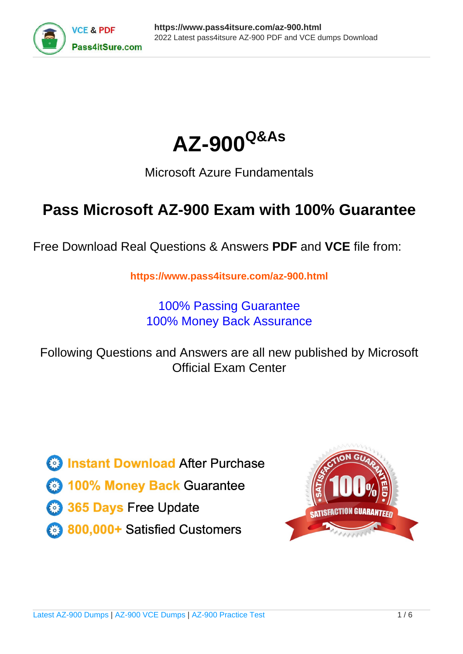



## Microsoft Azure Fundamentals

# **Pass Microsoft AZ-900 Exam with 100% Guarantee**

Free Download Real Questions & Answers **PDF** and **VCE** file from:

**https://www.pass4itsure.com/az-900.html**

100% Passing Guarantee 100% Money Back Assurance

Following Questions and Answers are all new published by Microsoft Official Exam Center

**C** Instant Download After Purchase

- **83 100% Money Back Guarantee**
- 365 Days Free Update
- 800,000+ Satisfied Customers  $603$

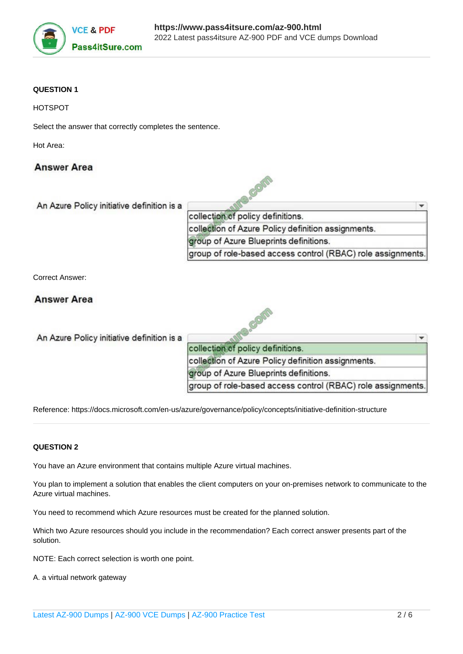

## **QUESTION 1**

Select the answer that correctly completes the sentence.

Hot Area:

## **Answer Area**

| collection of policy definitions.                           |  |
|-------------------------------------------------------------|--|
| collection of Azure Policy definition assignments.          |  |
| group of Azure Blueprints definitions.                      |  |
| group of role-based access control (RBAC) role assignments. |  |

Correct Answer:

## **Answer Area**

An Azure Policy initiative definition is a

| collection of policy definitions.                           |  |
|-------------------------------------------------------------|--|
| collection of Azure Policy definition assignments.          |  |
| group of Azure Blueprints definitions.                      |  |
| group of role-based access control (RBAC) role assignments. |  |

Reference: https://docs.microsoft.com/en-us/azure/governance/policy/concepts/initiative-definition-structure

## **QUESTION 2**

You have an Azure environment that contains multiple Azure virtual machines.

You plan to implement a solution that enables the client computers on your on-premises network to communicate to the Azure virtual machines.

You need to recommend which Azure resources must be created for the planned solution.

Which two Azure resources should you include in the recommendation? Each correct answer presents part of the solution.

NOTE: Each correct selection is worth one point.

A. a virtual network gateway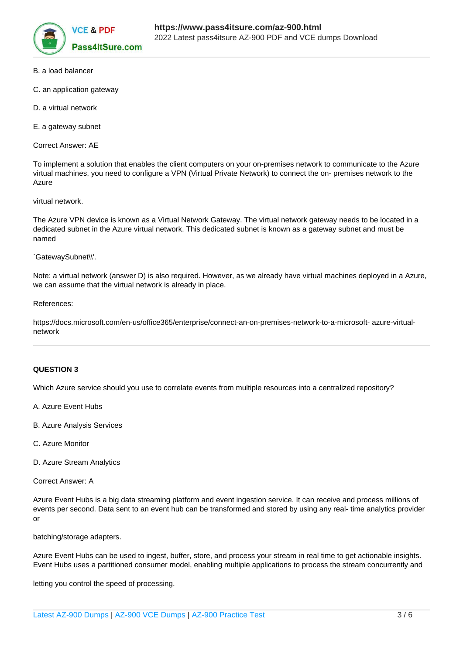

- B. a load balancer
- C. an application gateway
- D. a virtual network
- E. a gateway subnet

Correct Answer: AE

To implement a solution that enables the client computers on your on-premises network to communicate to the Azure virtual machines, you need to configure a VPN (Virtual Private Network) to connect the on- premises network to the Azure

### virtual network.

The Azure VPN device is known as a Virtual Network Gateway. The virtual network gateway needs to be located in a dedicated subnet in the Azure virtual network. This dedicated subnet is known as a gateway subnet and must be named

`GatewaySubnet\\'.

Note: a virtual network (answer D) is also required. However, as we already have virtual machines deployed in a Azure, we can assume that the virtual network is already in place.

References:

https://docs.microsoft.com/en-us/office365/enterprise/connect-an-on-premises-network-to-a-microsoft- azure-virtualnetwork

### **QUESTION 3**

Which Azure service should you use to correlate events from multiple resources into a centralized repository?

- A. Azure Event Hubs
- B. Azure Analysis Services
- C. Azure Monitor
- D. Azure Stream Analytics

Correct Answer: A

Azure Event Hubs is a big data streaming platform and event ingestion service. It can receive and process millions of events per second. Data sent to an event hub can be transformed and stored by using any real- time analytics provider or

batching/storage adapters.

Azure Event Hubs can be used to ingest, buffer, store, and process your stream in real time to get actionable insights. Event Hubs uses a partitioned consumer model, enabling multiple applications to process the stream concurrently and

letting you control the speed of processing.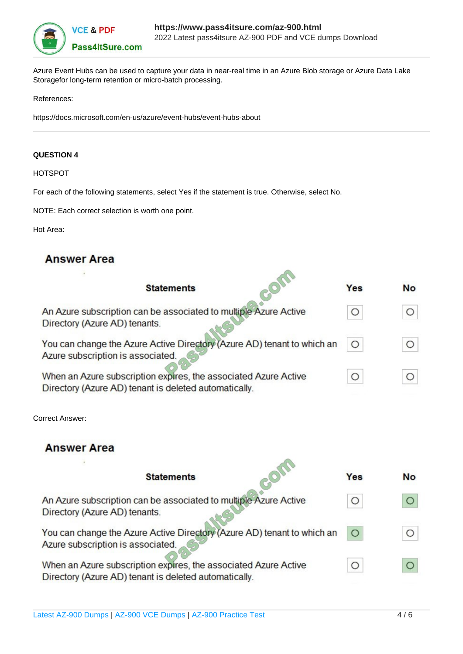

Azure Event Hubs can be used to capture your data in near-real time in an Azure Blob storage or Azure Data Lake Storagefor long-term retention or micro-batch processing.

## References:

https://docs.microsoft.com/en-us/azure/event-hubs/event-hubs-about

### **QUESTION 4**

HOTSPOT

For each of the following statements, select Yes if the statement is true. Otherwise, select No.

NOTE: Each correct selection is worth one point.

Hot Area:

## **Answer Area**

| <b>Statements</b>                                                       | Yes        | <b>No</b>  |
|-------------------------------------------------------------------------|------------|------------|
| An Azure subscription can be associated to multiple Azure Active        | O          | $\bigcirc$ |
| Directory (Azure AD) tenants.                                           |            |            |
| You can change the Azure Active Directory (Azure AD) tenant to which an | $\circ$    |            |
| Azure subscription is associated.                                       |            |            |
| When an Azure subscription expires, the associated Azure Active         | $\bigcirc$ |            |
| Directory (Azure AD) tenant is deleted automatically.                   |            |            |

Correct Answer:

## **Answer Area**

| <b>Statements</b>                                                                                                        | Yes     | <b>No</b> |
|--------------------------------------------------------------------------------------------------------------------------|---------|-----------|
| An Azure subscription can be associated to multiple Azure Active                                                         | O       |           |
| Directory (Azure AD) tenants.<br>You can change the Azure Active Directory (Azure AD) tenant to which an                 | $\circ$ |           |
| Azure subscription is associated.                                                                                        |         |           |
| When an Azure subscription expires, the associated Azure Active<br>Directory (Azure AD) tenant is deleted automatically. | O       |           |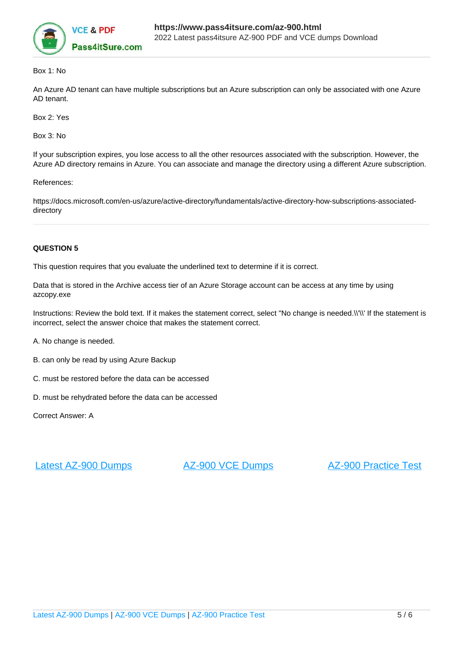

## Box 1: No

An Azure AD tenant can have multiple subscriptions but an Azure subscription can only be associated with one Azure AD tenant.

Box 2: Yes

Box 3: No

If your subscription expires, you lose access to all the other resources associated with the subscription. However, the Azure AD directory remains in Azure. You can associate and manage the directory using a different Azure subscription.

References:

https://docs.microsoft.com/en-us/azure/active-directory/fundamentals/active-directory-how-subscriptions-associateddirectory

#### **QUESTION 5**

This question requires that you evaluate the underlined text to determine if it is correct.

Data that is stored in the Archive access tier of an Azure Storage account can be access at any time by using azcopy.exe

Instructions: Review the bold text. If it makes the statement correct, select "No change is needed.\\'\\' If the statement is incorrect, select the answer choice that makes the statement correct.

A. No change is needed.

- B. can only be read by using Azure Backup
- C. must be restored before the data can be accessed
- D. must be rehydrated before the data can be accessed

Correct Answer: A

[Latest AZ-900 Dumps](https://www.pass4itsure.com/az-900.html) [AZ-900 VCE Dumps](https://www.pass4itsure.com/az-900.html) [AZ-900 Practice Test](https://www.pass4itsure.com/az-900.html)